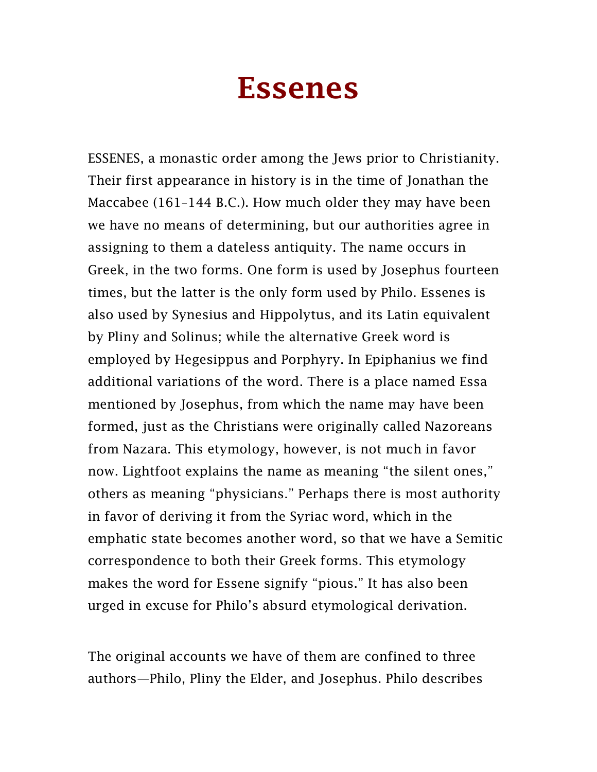## Essenes

ESSENES, a monastic order among the Jews prior to Christianity. Their first appearance in history is in the time of Jonathan the Maccabee (161–144 B.C.). How much older they may have been we have no means of determining, but our authorities agree in assigning to them a dateless antiquity. The name occurs in Greek, in the two forms. One form is used by Josephus fourteen times, but the latter is the only form used by Philo. Essenes is also used by Synesius and Hippolytus, and its Latin equivalent by Pliny and Solinus; while the alternative Greek word is employed by Hegesippus and Porphyry. In Epiphanius we find additional variations of the word. There is a place named Essa mentioned by Josephus, from which the name may have been formed, just as the Christians were originally called Nazoreans from Nazara. This etymology, however, is not much in favor now. Lightfoot explains the name as meaning "the silent ones," others as meaning "physicians." Perhaps there is most authority in favor of deriving it from the Syriac word, which in the emphatic state becomes another word, so that we have a Semitic correspondence to both their Greek forms. This etymology makes the word for Essene signify "pious." It has also been urged in excuse for Philo's absurd etymological derivation.

The original accounts we have of them are confined to three authors—Philo, Pliny the Elder, and Josephus. Philo describes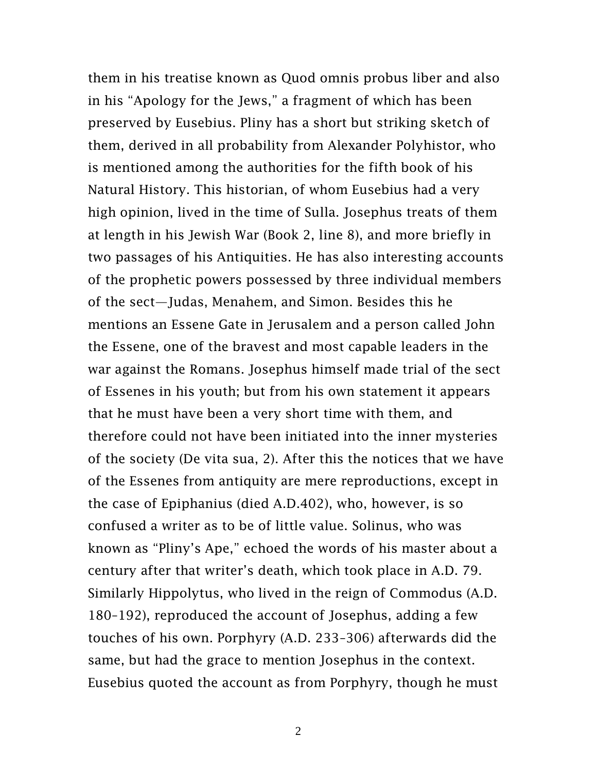them in his treatise known as Quod omnis probus liber and also in his "Apology for the Jews," a fragment of which has been preserved by Eusebius. Pliny has a short but striking sketch of them, derived in all probability from Alexander Polyhistor, who is mentioned among the authorities for the fifth book of his Natural History. This historian, of whom Eusebius had a very high opinion, lived in the time of Sulla. Josephus treats of them at length in his Jewish War (Book 2, line 8), and more briefly in two passages of his Antiquities. He has also interesting accounts of the prophetic powers possessed by three individual members of the sect—Judas, Menahem, and Simon. Besides this he mentions an Essene Gate in Jerusalem and a person called John the Essene, one of the bravest and most capable leaders in the war against the Romans. Josephus himself made trial of the sect of Essenes in his youth; but from his own statement it appears that he must have been a very short time with them, and therefore could not have been initiated into the inner mysteries of the society (De vita sua, 2). After this the notices that we have of the Essenes from antiquity are mere reproductions, except in the case of Epiphanius (died A.D.402), who, however, is so confused a writer as to be of little value. Solinus, who was known as "Pliny's Ape," echoed the words of his master about a century after that writer's death, which took place in A.D. 79. Similarly Hippolytus, who lived in the reign of Commodus (A.D. 180–192), reproduced the account of Josephus, adding a few touches of his own. Porphyry (A.D. 233–306) afterwards did the same, but had the grace to mention Josephus in the context. Eusebius quoted the account as from Porphyry, though he must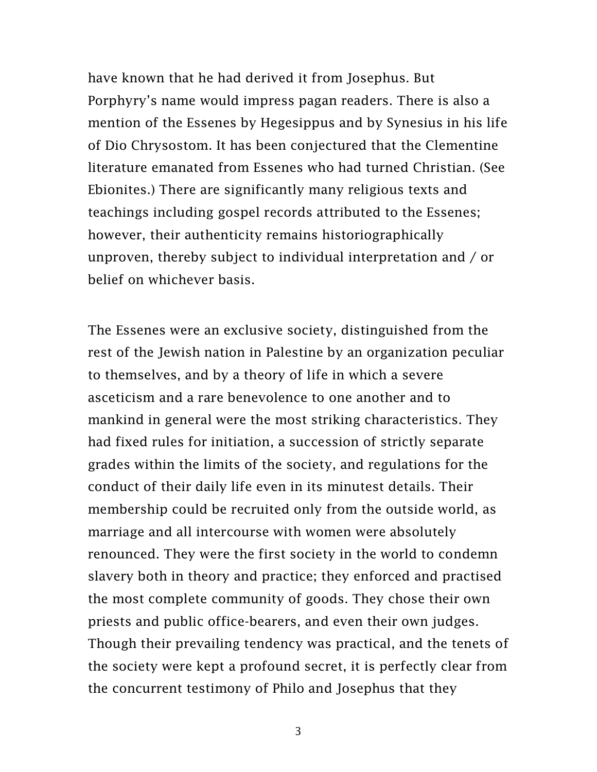have known that he had derived it from Josephus. But Porphyry's name would impress pagan readers. There is also a mention of the Essenes by Hegesippus and by Synesius in his life of Dio Chrysostom. It has been conjectured that the Clementine literature emanated from Essenes who had turned Christian. (See Ebionites.) There are significantly many religious texts and teachings including gospel records attributed to the Essenes; however, their authenticity remains historiographically unproven, thereby subject to individual interpretation and / or belief on whichever basis.

The Essenes were an exclusive society, distinguished from the rest of the Jewish nation in Palestine by an organization peculiar to themselves, and by a theory of life in which a severe asceticism and a rare benevolence to one another and to mankind in general were the most striking characteristics. They had fixed rules for initiation, a succession of strictly separate grades within the limits of the society, and regulations for the conduct of their daily life even in its minutest details. Their membership could be recruited only from the outside world, as marriage and all intercourse with women were absolutely renounced. They were the first society in the world to condemn slavery both in theory and practice; they enforced and practised the most complete community of goods. They chose their own priests and public office-bearers, and even their own judges. Though their prevailing tendency was practical, and the tenets of the society were kept a profound secret, it is perfectly clear from the concurrent testimony of Philo and Josephus that they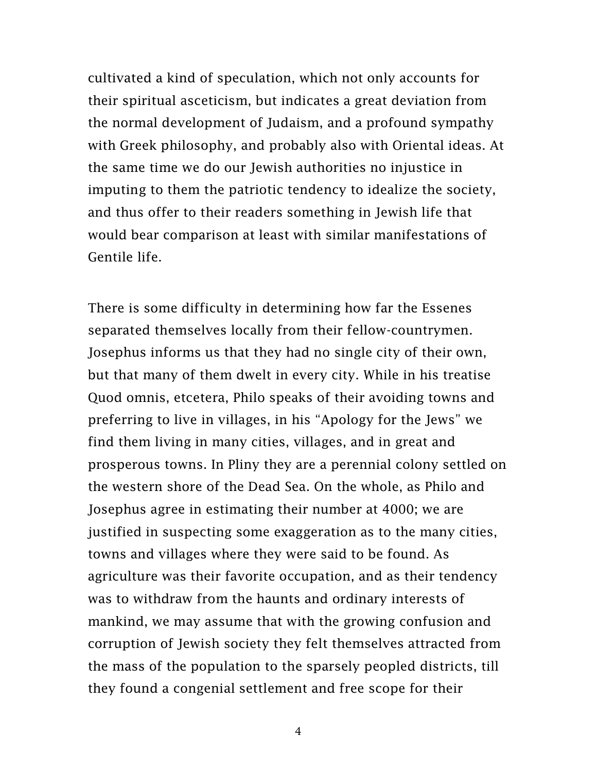cultivated a kind of speculation, which not only accounts for their spiritual asceticism, but indicates a great deviation from the normal development of Judaism, and a profound sympathy with Greek philosophy, and probably also with Oriental ideas. At the same time we do our Jewish authorities no injustice in imputing to them the patriotic tendency to idealize the society, and thus offer to their readers something in Jewish life that would bear comparison at least with similar manifestations of Gentile life.

There is some difficulty in determining how far the Essenes separated themselves locally from their fellow-countrymen. Josephus informs us that they had no single city of their own, but that many of them dwelt in every city. While in his treatise Quod omnis, etcetera, Philo speaks of their avoiding towns and preferring to live in villages, in his "Apology for the Jews" we find them living in many cities, villages, and in great and prosperous towns. In Pliny they are a perennial colony settled on the western shore of the Dead Sea. On the whole, as Philo and Josephus agree in estimating their number at 4000; we are justified in suspecting some exaggeration as to the many cities, towns and villages where they were said to be found. As agriculture was their favorite occupation, and as their tendency was to withdraw from the haunts and ordinary interests of mankind, we may assume that with the growing confusion and corruption of Jewish society they felt themselves attracted from the mass of the population to the sparsely peopled districts, till they found a congenial settlement and free scope for their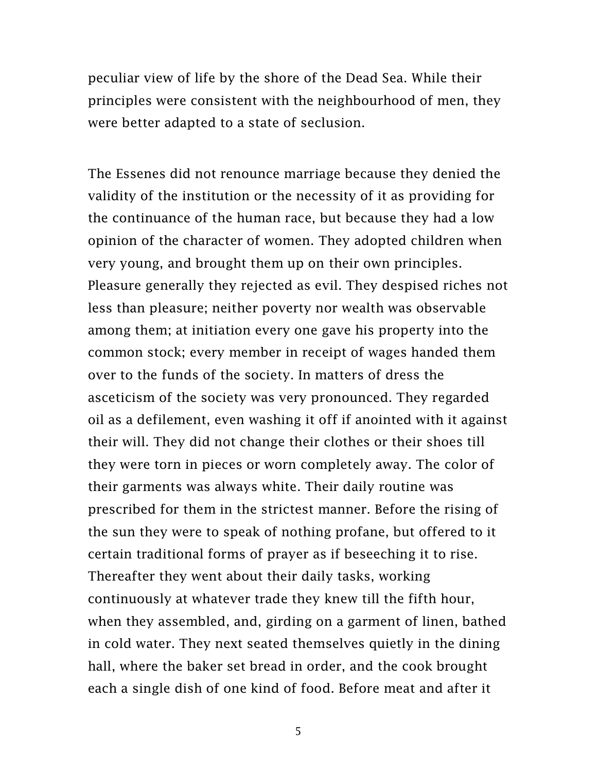peculiar view of life by the shore of the Dead Sea. While their principles were consistent with the neighbourhood of men, they were better adapted to a state of seclusion.

The Essenes did not renounce marriage because they denied the validity of the institution or the necessity of it as providing for the continuance of the human race, but because they had a low opinion of the character of women. They adopted children when very young, and brought them up on their own principles. Pleasure generally they rejected as evil. They despised riches not less than pleasure; neither poverty nor wealth was observable among them; at initiation every one gave his property into the common stock; every member in receipt of wages handed them over to the funds of the society. In matters of dress the asceticism of the society was very pronounced. They regarded oil as a defilement, even washing it off if anointed with it against their will. They did not change their clothes or their shoes till they were torn in pieces or worn completely away. The color of their garments was always white. Their daily routine was prescribed for them in the strictest manner. Before the rising of the sun they were to speak of nothing profane, but offered to it certain traditional forms of prayer as if beseeching it to rise. Thereafter they went about their daily tasks, working continuously at whatever trade they knew till the fifth hour, when they assembled, and, girding on a garment of linen, bathed in cold water. They next seated themselves quietly in the dining hall, where the baker set bread in order, and the cook brought each a single dish of one kind of food. Before meat and after it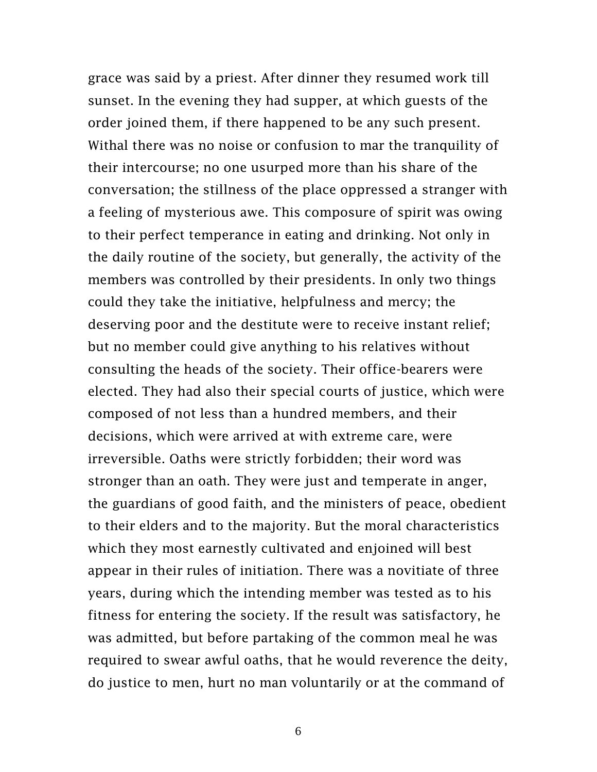grace was said by a priest. After dinner they resumed work till sunset. In the evening they had supper, at which guests of the order joined them, if there happened to be any such present. Withal there was no noise or confusion to mar the tranquility of their intercourse; no one usurped more than his share of the conversation; the stillness of the place oppressed a stranger with a feeling of mysterious awe. This composure of spirit was owing to their perfect temperance in eating and drinking. Not only in the daily routine of the society, but generally, the activity of the members was controlled by their presidents. In only two things could they take the initiative, helpfulness and mercy; the deserving poor and the destitute were to receive instant relief; but no member could give anything to his relatives without consulting the heads of the society. Their office-bearers were elected. They had also their special courts of justice, which were composed of not less than a hundred members, and their decisions, which were arrived at with extreme care, were irreversible. Oaths were strictly forbidden; their word was stronger than an oath. They were just and temperate in anger, the guardians of good faith, and the ministers of peace, obedient to their elders and to the majority. But the moral characteristics which they most earnestly cultivated and enjoined will best appear in their rules of initiation. There was a novitiate of three years, during which the intending member was tested as to his fitness for entering the society. If the result was satisfactory, he was admitted, but before partaking of the common meal he was required to swear awful oaths, that he would reverence the deity, do justice to men, hurt no man voluntarily or at the command of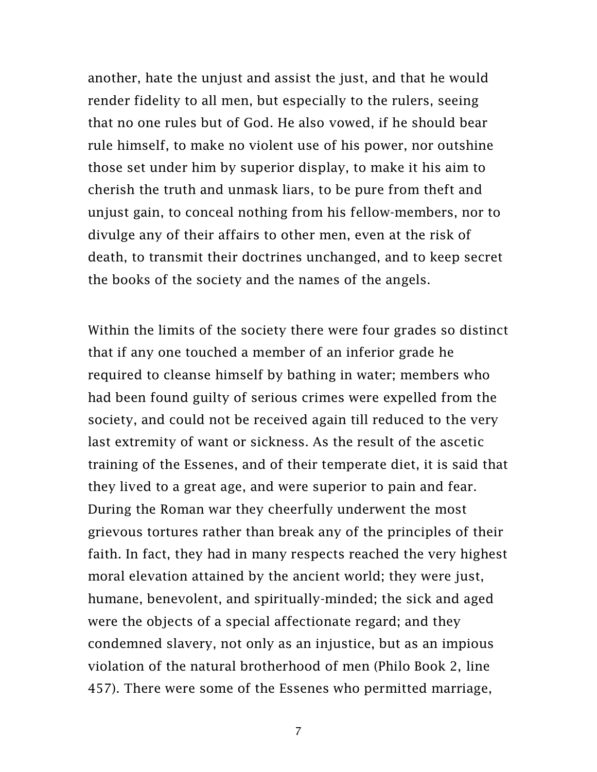another, hate the unjust and assist the just, and that he would render fidelity to all men, but especially to the rulers, seeing that no one rules but of God. He also vowed, if he should bear rule himself, to make no violent use of his power, nor outshine those set under him by superior display, to make it his aim to cherish the truth and unmask liars, to be pure from theft and unjust gain, to conceal nothing from his fellow-members, nor to divulge any of their affairs to other men, even at the risk of death, to transmit their doctrines unchanged, and to keep secret the books of the society and the names of the angels.

Within the limits of the society there were four grades so distinct that if any one touched a member of an inferior grade he required to cleanse himself by bathing in water; members who had been found guilty of serious crimes were expelled from the society, and could not be received again till reduced to the very last extremity of want or sickness. As the result of the ascetic training of the Essenes, and of their temperate diet, it is said that they lived to a great age, and were superior to pain and fear. During the Roman war they cheerfully underwent the most grievous tortures rather than break any of the principles of their faith. In fact, they had in many respects reached the very highest moral elevation attained by the ancient world; they were just, humane, benevolent, and spiritually-minded; the sick and aged were the objects of a special affectionate regard; and they condemned slavery, not only as an injustice, but as an impious violation of the natural brotherhood of men (Philo Book 2, line 457). There were some of the Essenes who permitted marriage,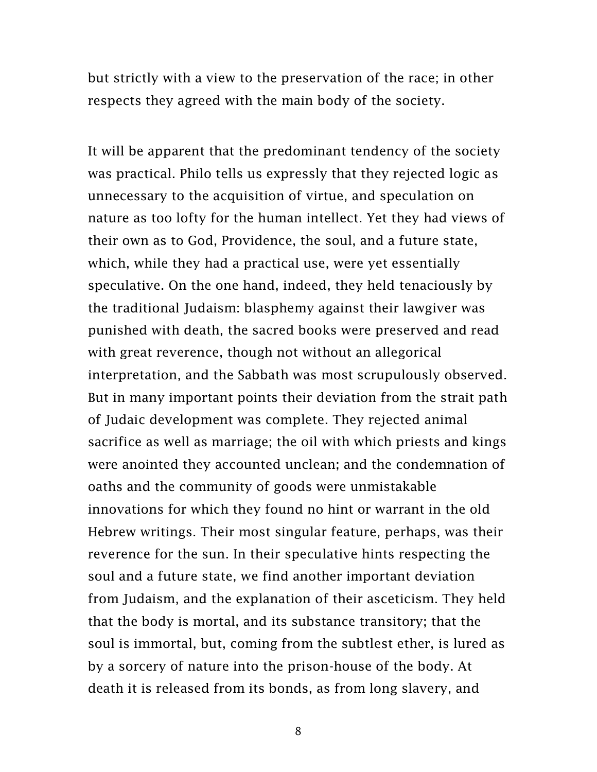but strictly with a view to the preservation of the race; in other respects they agreed with the main body of the society.

It will be apparent that the predominant tendency of the society was practical. Philo tells us expressly that they rejected logic as unnecessary to the acquisition of virtue, and speculation on nature as too lofty for the human intellect. Yet they had views of their own as to God, Providence, the soul, and a future state, which, while they had a practical use, were yet essentially speculative. On the one hand, indeed, they held tenaciously by the traditional Judaism: blasphemy against their lawgiver was punished with death, the sacred books were preserved and read with great reverence, though not without an allegorical interpretation, and the Sabbath was most scrupulously observed. But in many important points their deviation from the strait path of Judaic development was complete. They rejected animal sacrifice as well as marriage; the oil with which priests and kings were anointed they accounted unclean; and the condemnation of oaths and the community of goods were unmistakable innovations for which they found no hint or warrant in the old Hebrew writings. Their most singular feature, perhaps, was their reverence for the sun. In their speculative hints respecting the soul and a future state, we find another important deviation from Judaism, and the explanation of their asceticism. They held that the body is mortal, and its substance transitory; that the soul is immortal, but, coming from the subtlest ether, is lured as by a sorcery of nature into the prison-house of the body. At death it is released from its bonds, as from long slavery, and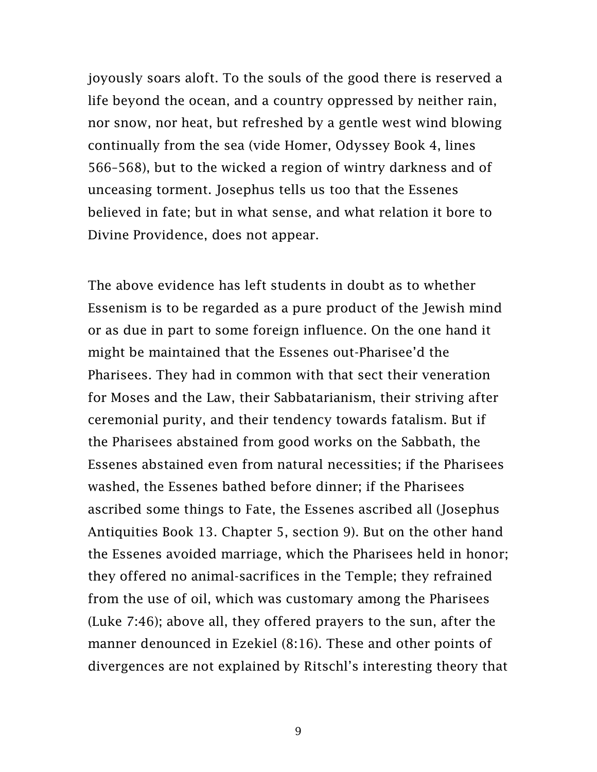joyously soars aloft. To the souls of the good there is reserved a life beyond the ocean, and a country oppressed by neither rain, nor snow, nor heat, but refreshed by a gentle west wind blowing continually from the sea (vide Homer, Odyssey Book 4, lines 566–568), but to the wicked a region of wintry darkness and of unceasing torment. Josephus tells us too that the Essenes believed in fate; but in what sense, and what relation it bore to Divine Providence, does not appear.

The above evidence has left students in doubt as to whether Essenism is to be regarded as a pure product of the Jewish mind or as due in part to some foreign influence. On the one hand it might be maintained that the Essenes out-Pharisee'd the Pharisees. They had in common with that sect their veneration for Moses and the Law, their Sabbatarianism, their striving after ceremonial purity, and their tendency towards fatalism. But if the Pharisees abstained from good works on the Sabbath, the Essenes abstained even from natural necessities; if the Pharisees washed, the Essenes bathed before dinner; if the Pharisees ascribed some things to Fate, the Essenes ascribed all (Josephus Antiquities Book 13. Chapter 5, section 9). But on the other hand the Essenes avoided marriage, which the Pharisees held in honor; they offered no animal-sacrifices in the Temple; they refrained from the use of oil, which was customary among the Pharisees (Luke 7:46); above all, they offered prayers to the sun, after the manner denounced in Ezekiel (8:16). These and other points of divergences are not explained by Ritschl's interesting theory that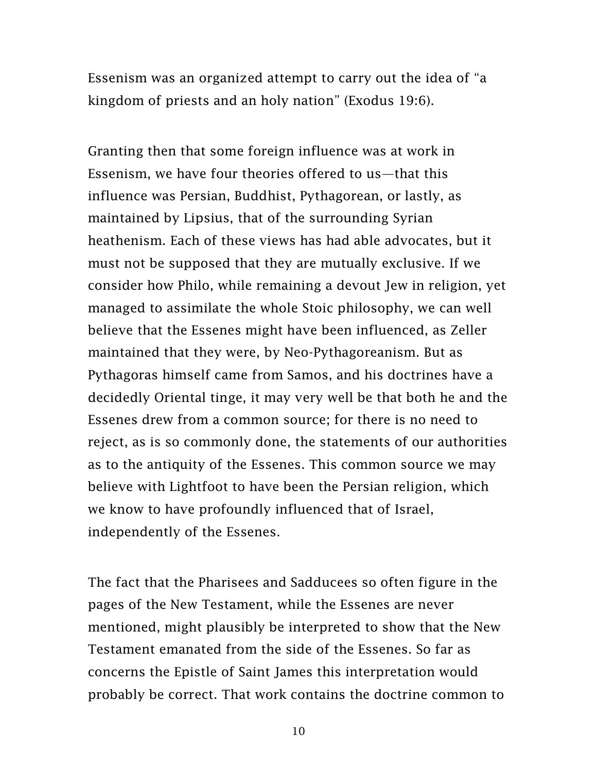Essenism was an organized attempt to carry out the idea of "a kingdom of priests and an holy nation" (Exodus 19:6).

Granting then that some foreign influence was at work in Essenism, we have four theories offered to us—that this influence was Persian, Buddhist, Pythagorean, or lastly, as maintained by Lipsius, that of the surrounding Syrian heathenism. Each of these views has had able advocates, but it must not be supposed that they are mutually exclusive. If we consider how Philo, while remaining a devout Jew in religion, yet managed to assimilate the whole Stoic philosophy, we can well believe that the Essenes might have been influenced, as Zeller maintained that they were, by Neo-Pythagoreanism. But as Pythagoras himself came from Samos, and his doctrines have a decidedly Oriental tinge, it may very well be that both he and the Essenes drew from a common source; for there is no need to reject, as is so commonly done, the statements of our authorities as to the antiquity of the Essenes. This common source we may believe with Lightfoot to have been the Persian religion, which we know to have profoundly influenced that of Israel, independently of the Essenes.

The fact that the Pharisees and Sadducees so often figure in the pages of the New Testament, while the Essenes are never mentioned, might plausibly be interpreted to show that the New Testament emanated from the side of the Essenes. So far as concerns the Epistle of Saint James this interpretation would probably be correct. That work contains the doctrine common to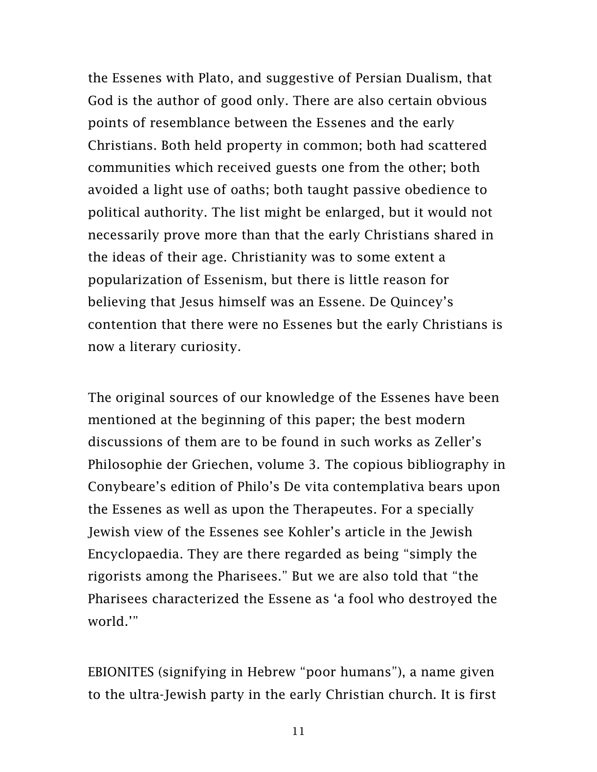the Essenes with Plato, and suggestive of Persian Dualism, that God is the author of good only. There are also certain obvious points of resemblance between the Essenes and the early Christians. Both held property in common; both had scattered communities which received guests one from the other; both avoided a light use of oaths; both taught passive obedience to political authority. The list might be enlarged, but it would not necessarily prove more than that the early Christians shared in the ideas of their age. Christianity was to some extent a popularization of Essenism, but there is little reason for believing that Jesus himself was an Essene. De Quincey's contention that there were no Essenes but the early Christians is now a literary curiosity.

The original sources of our knowledge of the Essenes have been mentioned at the beginning of this paper; the best modern discussions of them are to be found in such works as Zeller's Philosophie der Griechen, volume 3. The copious bibliography in Conybeare's edition of Philo's De vita contemplativa bears upon the Essenes as well as upon the Therapeutes. For a specially Jewish view of the Essenes see Kohler's article in the Jewish Encyclopaedia. They are there regarded as being "simply the rigorists among the Pharisees." But we are also told that "the Pharisees characterized the Essene as 'a fool who destroyed the world.'"

EBIONITES (signifying in Hebrew "poor humans"), a name given to the ultra-Jewish party in the early Christian church. It is first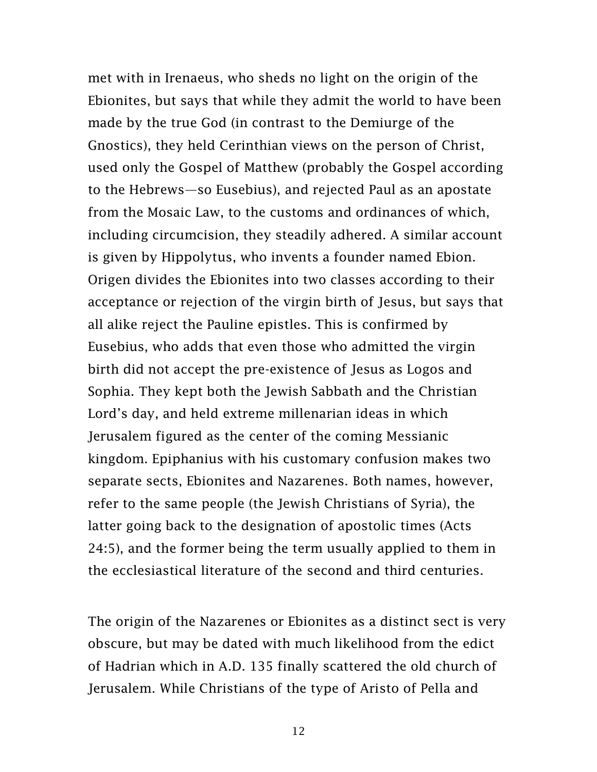met with in Irenaeus, who sheds no light on the origin of the Ebionites, but says that while they admit the world to have been made by the true God (in contrast to the Demiurge of the Gnostics), they held Cerinthian views on the person of Christ, used only the Gospel of Matthew (probably the Gospel according to the Hebrews—so Eusebius), and rejected Paul as an apostate from the Mosaic Law, to the customs and ordinances of which, including circumcision, they steadily adhered. A similar account is given by Hippolytus, who invents a founder named Ebion. Origen divides the Ebionites into two classes according to their acceptance or rejection of the virgin birth of Jesus, but says that all alike reject the Pauline epistles. This is confirmed by Eusebius, who adds that even those who admitted the virgin birth did not accept the pre-existence of Jesus as Logos and Sophia. They kept both the Jewish Sabbath and the Christian Lord's day, and held extreme millenarian ideas in which Jerusalem figured as the center of the coming Messianic kingdom. Epiphanius with his customary confusion makes two separate sects, Ebionites and Nazarenes. Both names, however, refer to the same people (the Jewish Christians of Syria), the latter going back to the designation of apostolic times (Acts 24:5), and the former being the term usually applied to them in the ecclesiastical literature of the second and third centuries.

The origin of the Nazarenes or Ebionites as a distinct sect is very obscure, but may be dated with much likelihood from the edict of Hadrian which in A.D. 135 finally scattered the old church of Jerusalem. While Christians of the type of Aristo of Pella and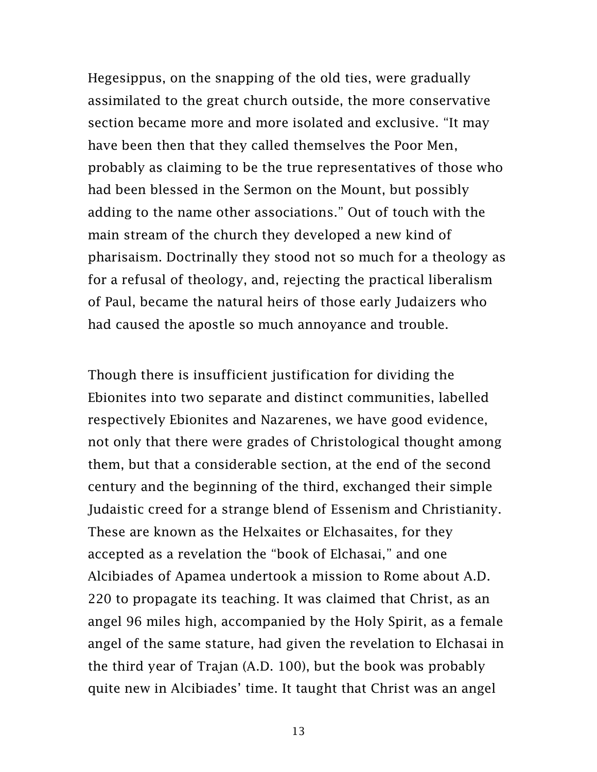Hegesippus, on the snapping of the old ties, were gradually assimilated to the great church outside, the more conservative section became more and more isolated and exclusive. "It may have been then that they called themselves the Poor Men, probably as claiming to be the true representatives of those who had been blessed in the Sermon on the Mount, but possibly adding to the name other associations." Out of touch with the main stream of the church they developed a new kind of pharisaism. Doctrinally they stood not so much for a theology as for a refusal of theology, and, rejecting the practical liberalism of Paul, became the natural heirs of those early Judaizers who had caused the apostle so much annoyance and trouble.

Though there is insufficient justification for dividing the Ebionites into two separate and distinct communities, labelled respectively Ebionites and Nazarenes, we have good evidence, not only that there were grades of Christological thought among them, but that a considerable section, at the end of the second century and the beginning of the third, exchanged their simple Judaistic creed for a strange blend of Essenism and Christianity. These are known as the Helxaites or Elchasaites, for they accepted as a revelation the "book of Elchasai," and one Alcibiades of Apamea undertook a mission to Rome about A.D. 220 to propagate its teaching. It was claimed that Christ, as an angel 96 miles high, accompanied by the Holy Spirit, as a female angel of the same stature, had given the revelation to Elchasai in the third year of Trajan (A.D. 100), but the book was probably quite new in Alcibiades' time. It taught that Christ was an angel